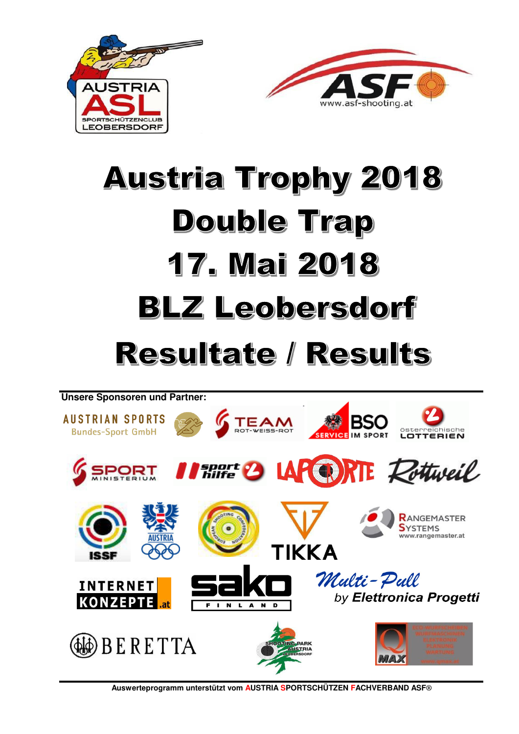



# **Austria Trophy 2018 Double Trap 17. Mai 2018 BLZ Leobersdorf**

## **Resultate / Results**



**Auswerteprogramm unterstützt vom AUSTRIA SPORTSCHÜTZEN FACHVERBAND ASF®**